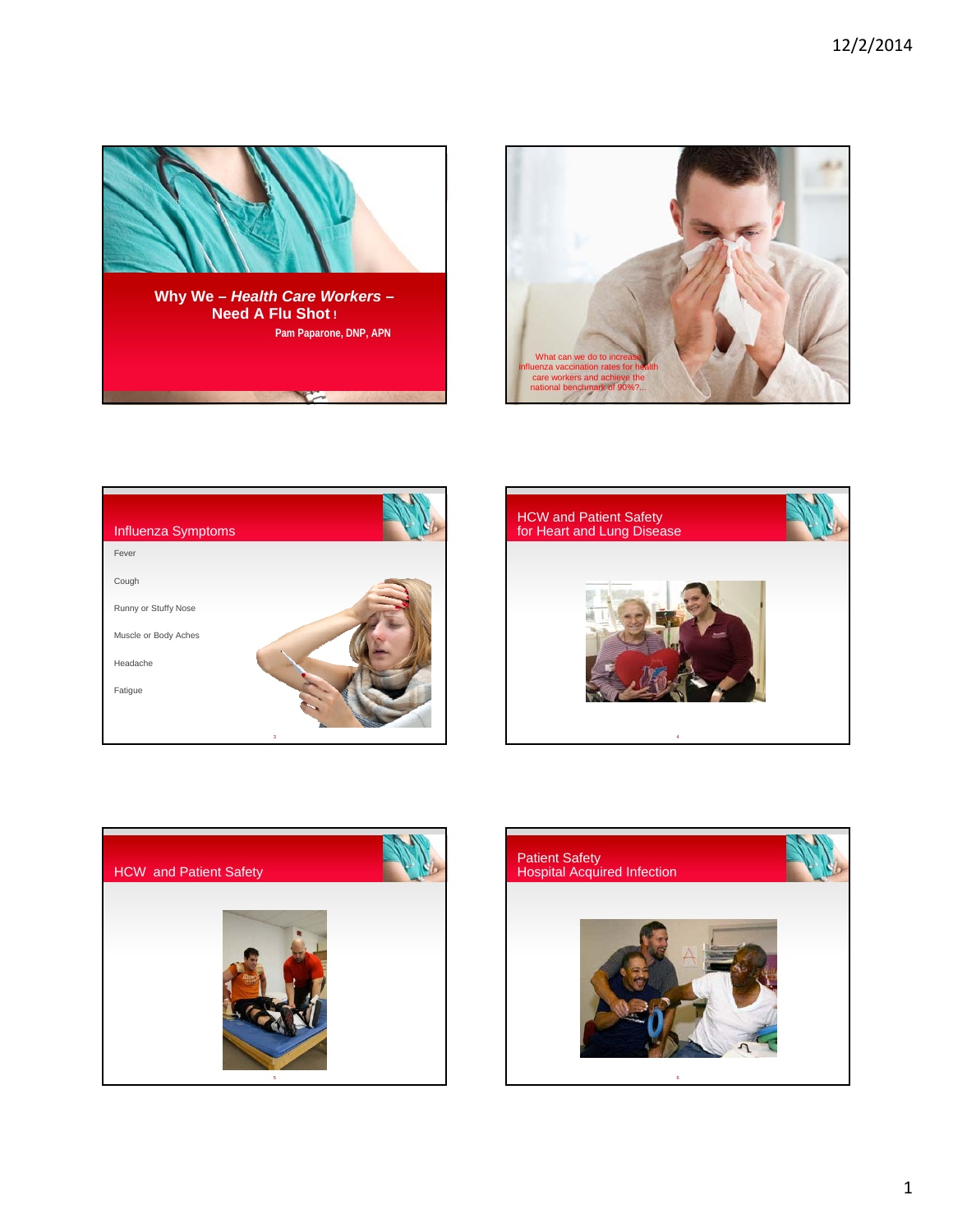









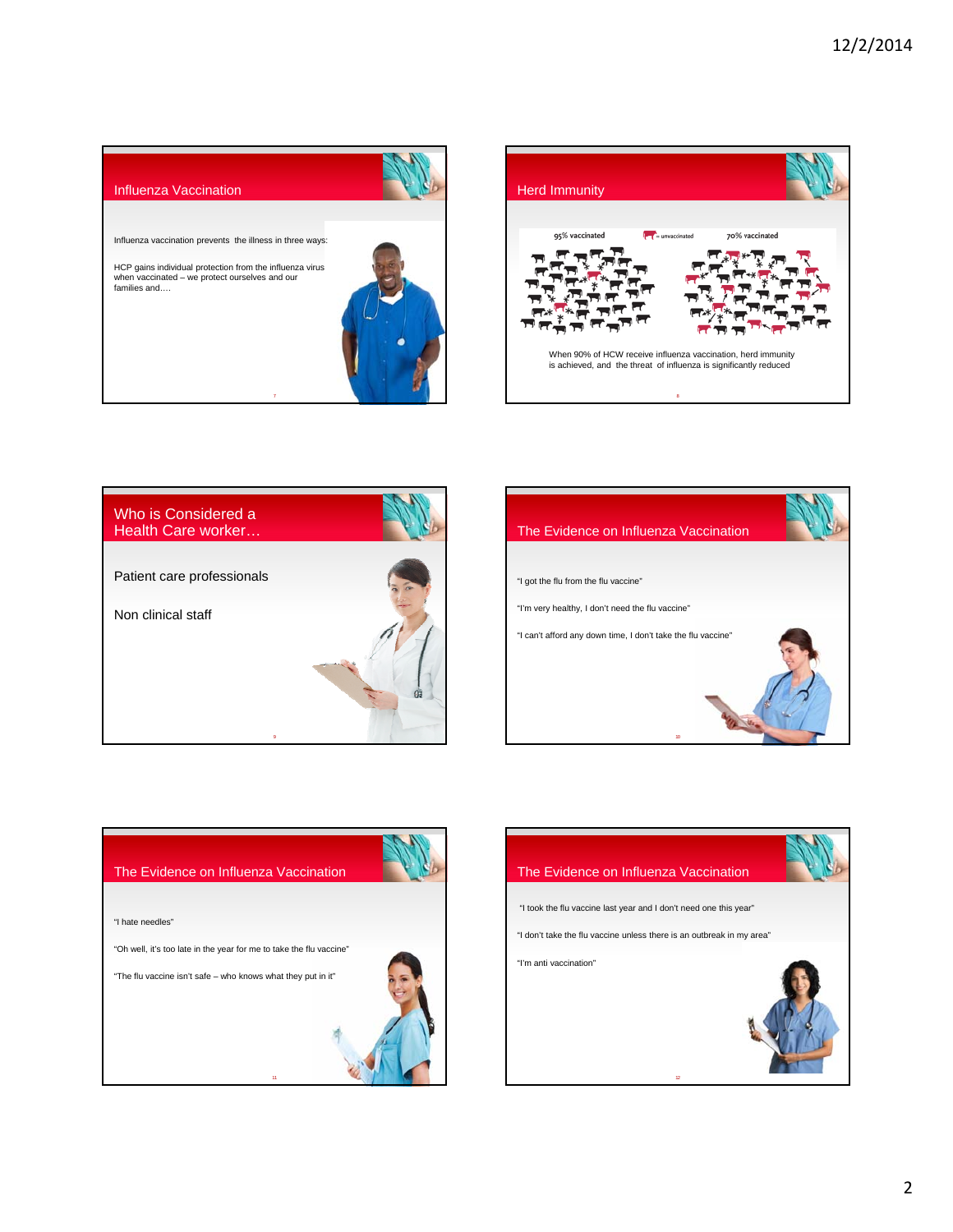









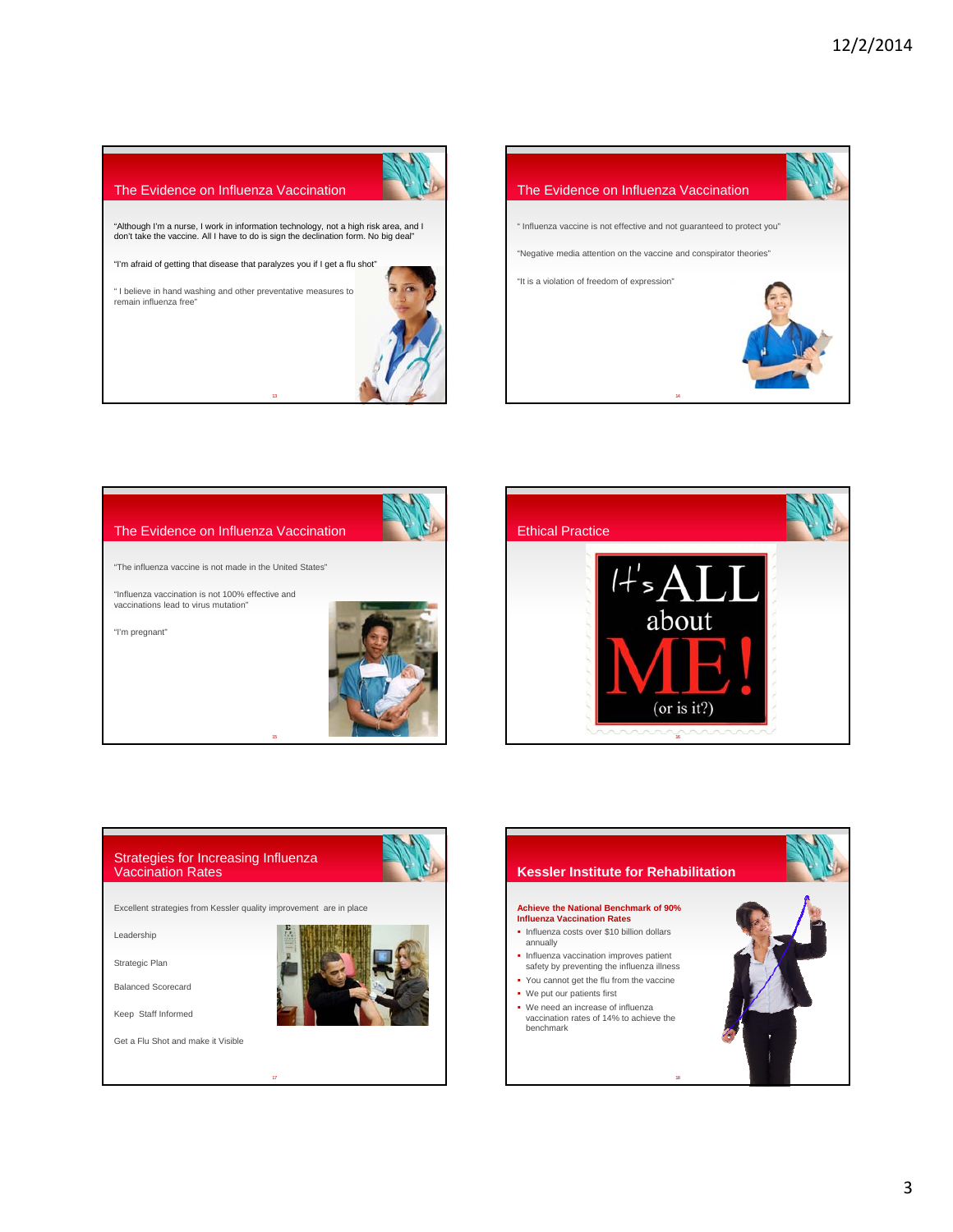